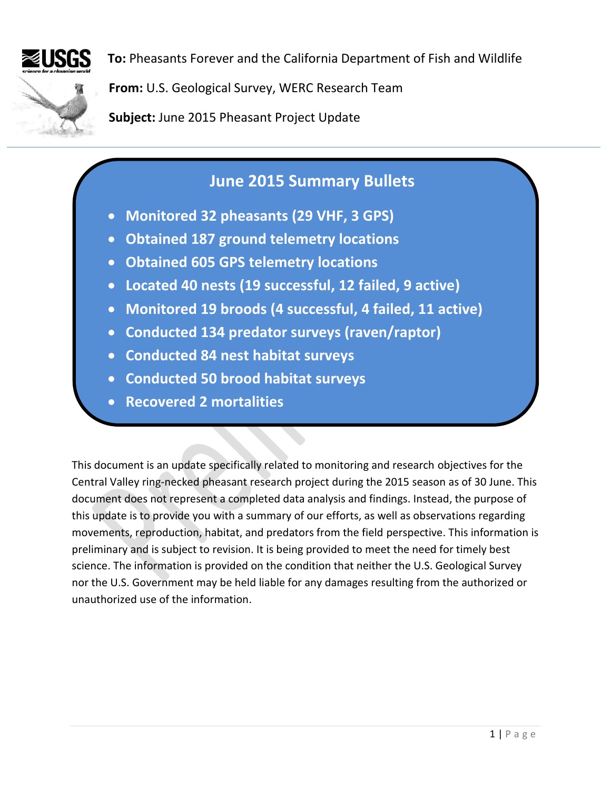

**To:** Pheasants Forever and the California Department of Fish and Wildlife

**From:** U.S. Geological Survey, WERC Research Team

**Subject:** June 2015 Pheasant Project Update

# **June 2015 Summary Bullets**

- **Monitored 32 pheasants (29 VHF, 3 GPS)**
- **Obtained 187 ground telemetry locations**
- **Obtained 605 GPS telemetry locations**
- **Located 40 nests (19 successful, 12 failed, 9 active)**
- **Monitored 19 broods (4 successful, 4 failed, 11 active)**
- **Conducted 134 predator surveys (raven/raptor)**
- **Conducted 84 nest habitat surveys**
- **Conducted 50 brood habitat surveys**
- **Recovered 2 mortalities**

This document is an update specifically related to monitoring and research objectives for the Central Valley ring-necked pheasant research project during the 2015 season as of 30 June. This document does not represent a completed data analysis and findings. Instead, the purpose of this update is to provide you with a summary of our efforts, as well as observations regarding movements, reproduction, habitat, and predators from the field perspective. This information is preliminary and is subject to revision. It is being provided to meet the need for timely best science. The information is provided on the condition that neither the U.S. Geological Survey nor the U.S. Government may be held liable for any damages resulting from the authorized or unauthorized use of the information.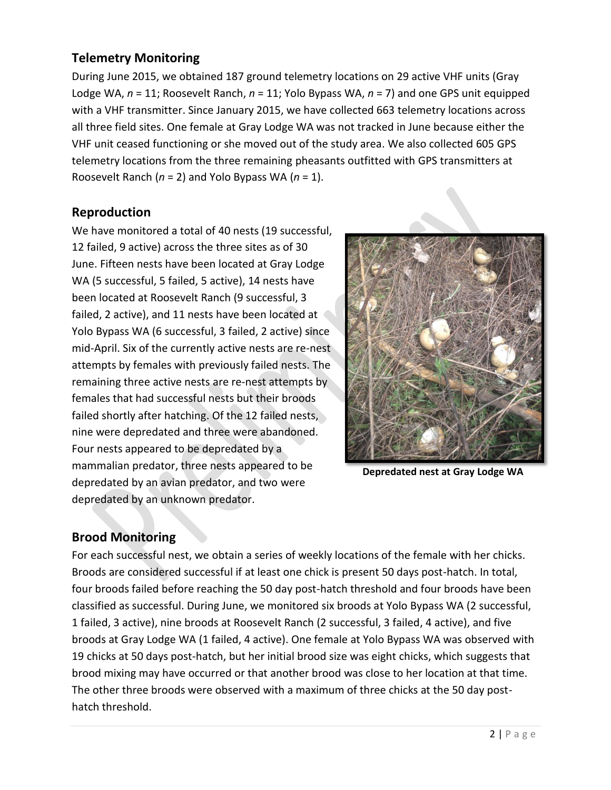### **Telemetry Monitoring**

During June 2015, we obtained 187 ground telemetry locations on 29 active VHF units (Gray Lodge WA, *n* = 11; Roosevelt Ranch, *n* = 11; Yolo Bypass WA, *n* = 7) and one GPS unit equipped with a VHF transmitter. Since January 2015, we have collected 663 telemetry locations across all three field sites. One female at Gray Lodge WA was not tracked in June because either the VHF unit ceased functioning or she moved out of the study area. We also collected 605 GPS telemetry locations from the three remaining pheasants outfitted with GPS transmitters at Roosevelt Ranch (*n* = 2) and Yolo Bypass WA (*n* = 1).

#### **Reproduction**

We have monitored a total of 40 nests (19 successful, 12 failed, 9 active) across the three sites as of 30 June. Fifteen nests have been located at Gray Lodge WA (5 successful, 5 failed, 5 active), 14 nests have been located at Roosevelt Ranch (9 successful, 3 failed, 2 active), and 11 nests have been located at Yolo Bypass WA (6 successful, 3 failed, 2 active) since mid-April. Six of the currently active nests are re-nest attempts by females with previously failed nests. The remaining three active nests are re-nest attempts by females that had successful nests but their broods failed shortly after hatching. Of the 12 failed nests, nine were depredated and three were abandoned. Four nests appeared to be depredated by a mammalian predator, three nests appeared to be depredated by an avian predator, and two were depredated by an unknown predator.



**Depredated nest at Gray Lodge WA**

## **Brood Monitoring**

For each successful nest, we obtain a series of weekly locations of the female with her chicks. Broods are considered successful if at least one chick is present 50 days post-hatch. In total, four broods failed before reaching the 50 day post-hatch threshold and four broods have been classified as successful. During June, we monitored six broods at Yolo Bypass WA (2 successful, 1 failed, 3 active), nine broods at Roosevelt Ranch (2 successful, 3 failed, 4 active), and five broods at Gray Lodge WA (1 failed, 4 active). One female at Yolo Bypass WA was observed with 19 chicks at 50 days post-hatch, but her initial brood size was eight chicks, which suggests that brood mixing may have occurred or that another brood was close to her location at that time. The other three broods were observed with a maximum of three chicks at the 50 day posthatch threshold.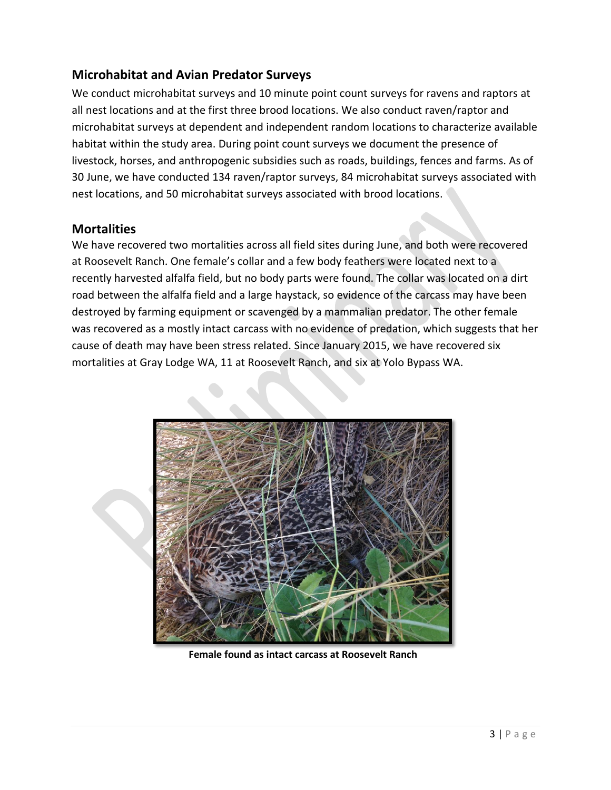## **Microhabitat and Avian Predator Surveys**

We conduct microhabitat surveys and 10 minute point count surveys for ravens and raptors at all nest locations and at the first three brood locations. We also conduct raven/raptor and microhabitat surveys at dependent and independent random locations to characterize available habitat within the study area. During point count surveys we document the presence of livestock, horses, and anthropogenic subsidies such as roads, buildings, fences and farms. As of 30 June, we have conducted 134 raven/raptor surveys, 84 microhabitat surveys associated with nest locations, and 50 microhabitat surveys associated with brood locations.

#### **Mortalities**

We have recovered two mortalities across all field sites during June, and both were recovered at Roosevelt Ranch. One female's collar and a few body feathers were located next to a recently harvested alfalfa field, but no body parts were found. The collar was located on a dirt road between the alfalfa field and a large haystack, so evidence of the carcass may have been destroyed by farming equipment or scavenged by a mammalian predator. The other female was recovered as a mostly intact carcass with no evidence of predation, which suggests that her cause of death may have been stress related. Since January 2015, we have recovered six mortalities at Gray Lodge WA, 11 at Roosevelt Ranch, and six at Yolo Bypass WA.



**Female found as intact carcass at Roosevelt Ranch**